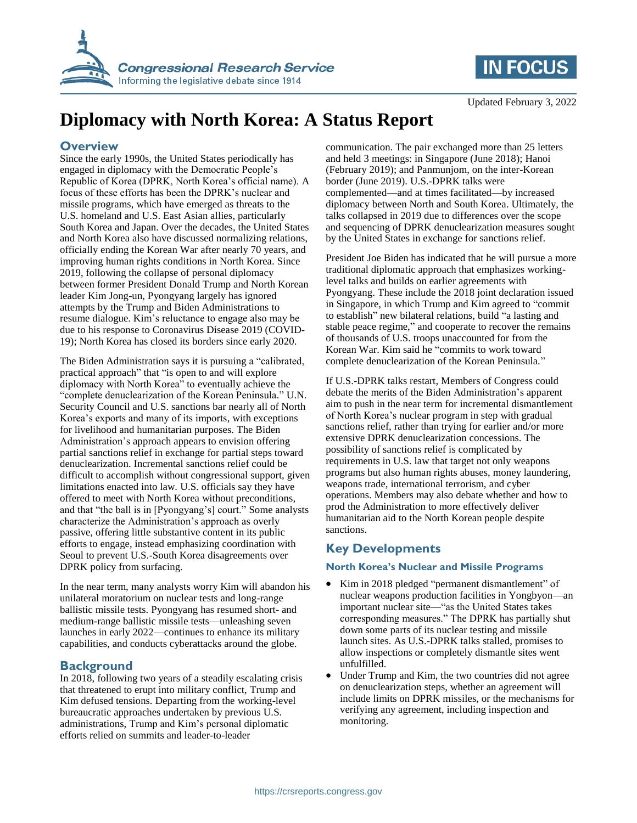



# **Diplomacy with North Korea: A Status Report**

### **Overview**

Since the early 1990s, the United States periodically has engaged in diplomacy with the Democratic People's Republic of Korea (DPRK, North Korea's official name). A focus of these efforts has been the DPRK's nuclear and missile programs, which have emerged as threats to the U.S. homeland and U.S. East Asian allies, particularly South Korea and Japan. Over the decades, the United States and North Korea also have discussed normalizing relations, officially ending the Korean War after nearly 70 years, and improving human rights conditions in North Korea. Since 2019, following the collapse of personal diplomacy between former President Donald Trump and North Korean leader Kim Jong-un, Pyongyang largely has ignored attempts by the Trump and Biden Administrations to resume dialogue. Kim's reluctance to engage also may be due to his response to Coronavirus Disease 2019 (COVID-19); North Korea has closed its borders since early 2020.

The Biden Administration says it is pursuing a "calibrated, practical approach" that "is open to and will explore diplomacy with North Korea" to eventually achieve the "complete denuclearization of the Korean Peninsula." U.N. Security Council and U.S. sanctions bar nearly all of North Korea's exports and many of its imports, with exceptions for livelihood and humanitarian purposes. The Biden Administration's approach appears to envision offering partial sanctions relief in exchange for partial steps toward denuclearization. Incremental sanctions relief could be difficult to accomplish without congressional support, given limitations enacted into law. U.S. officials say they have offered to meet with North Korea without preconditions, and that "the ball is in [Pyongyang's] court." Some analysts characterize the Administration's approach as overly passive, offering little substantive content in its public efforts to engage, instead emphasizing coordination with Seoul to prevent U.S.-South Korea disagreements over DPRK policy from surfacing.

In the near term, many analysts worry Kim will abandon his unilateral moratorium on nuclear tests and long-range ballistic missile tests. Pyongyang has resumed short- and medium-range ballistic missile tests—unleashing seven launches in early 2022—continues to enhance its military capabilities, and conducts cyberattacks around the globe.

# **Background**

In 2018, following two years of a steadily escalating crisis that threatened to erupt into military conflict, Trump and Kim defused tensions. Departing from the working-level bureaucratic approaches undertaken by previous U.S. administrations, Trump and Kim's personal diplomatic efforts relied on summits and leader-to-leader

communication. The pair exchanged more than 25 letters and held 3 meetings: in Singapore (June 2018); Hanoi (February 2019); and Panmunjom, on the inter-Korean border (June 2019). U.S.-DPRK talks were complemented—and at times facilitated—by increased diplomacy between North and South Korea. Ultimately, the talks collapsed in 2019 due to differences over the scope and sequencing of DPRK denuclearization measures sought by the United States in exchange for sanctions relief.

President Joe Biden has indicated that he will pursue a more traditional diplomatic approach that emphasizes workinglevel talks and builds on earlier agreements with Pyongyang. These include the 2018 joint declaration issued in Singapore, in which Trump and Kim agreed to "commit to establish" new bilateral relations, build "a lasting and stable peace regime," and cooperate to recover the remains of thousands of U.S. troops unaccounted for from the Korean War. Kim said he "commits to work toward complete denuclearization of the Korean Peninsula."

If U.S.-DPRK talks restart, Members of Congress could debate the merits of the Biden Administration's apparent aim to push in the near term for incremental dismantlement of North Korea's nuclear program in step with gradual sanctions relief, rather than trying for earlier and/or more extensive DPRK denuclearization concessions. The possibility of sanctions relief is complicated by requirements in U.S. law that target not only weapons programs but also human rights abuses, money laundering, weapons trade, international terrorism, and cyber operations. Members may also debate whether and how to prod the Administration to more effectively deliver humanitarian aid to the North Korean people despite sanctions.

# **Key Developments**

#### **North Korea's Nuclear and Missile Programs**

- Kim in 2018 pledged "permanent dismantlement" of nuclear weapons production facilities in Yongbyon—an important nuclear site—"as the United States takes corresponding measures." The DPRK has partially shut down some parts of its nuclear testing and missile launch sites. As U.S.-DPRK talks stalled, promises to allow inspections or completely dismantle sites went unfulfilled.
- Under Trump and Kim, the two countries did not agree on denuclearization steps, whether an agreement will include limits on DPRK missiles, or the mechanisms for verifying any agreement, including inspection and monitoring.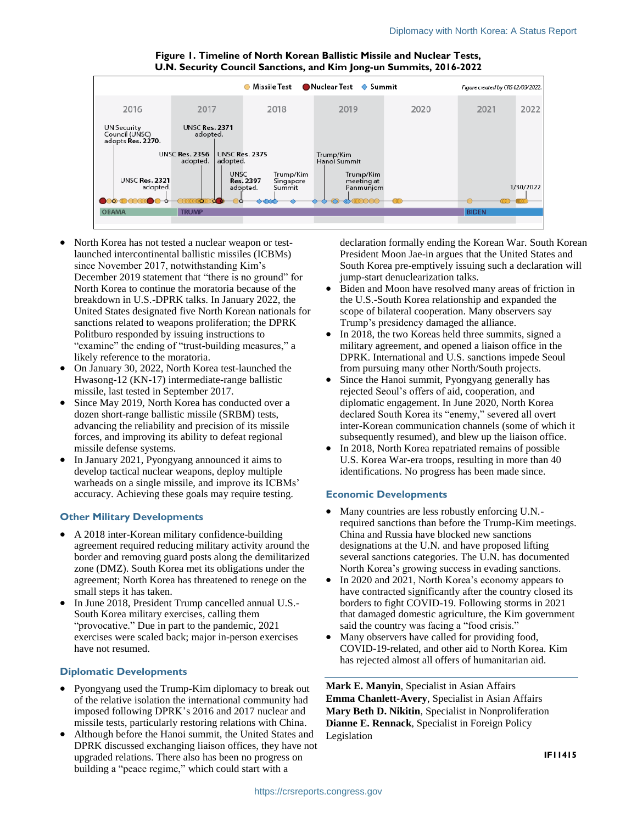

**Figure 1. Timeline of North Korean Ballistic Missile and Nuclear Tests, U.N. Security Council Sanctions, and Kim Jong-un Summits, 2016-2022**

- North Korea has not tested a nuclear weapon or testlaunched intercontinental ballistic missiles (ICBMs) since November 2017, notwithstanding Kim's December 2019 statement that "there is no ground" for North Korea to continue the moratoria because of the breakdown in U.S.-DPRK talks. In January 2022, the United States designated five North Korean nationals for sanctions related to weapons proliferation; the DPRK Politburo responded by issuing instructions to "examine" the ending of "trust-building measures," a likely reference to the moratoria.
- On January 30, 2022, North Korea test-launched the Hwasong-12 (KN-17) intermediate-range ballistic missile, last tested in September 2017.
- Since May 2019, North Korea has conducted over a dozen short-range ballistic missile (SRBM) tests, advancing the reliability and precision of its missile forces, and improving its ability to defeat regional missile defense systems.
- In January 2021, Pyongyang announced it aims to develop tactical nuclear weapons, deploy multiple warheads on a single missile, and improve its ICBMs' accuracy. Achieving these goals may require testing.

#### **Other Military Developments**

- A 2018 inter-Korean military confidence-building agreement required reducing military activity around the border and removing guard posts along the demilitarized zone (DMZ). South Korea met its obligations under the agreement; North Korea has threatened to renege on the small steps it has taken.
- In June 2018, President Trump cancelled annual U.S.- South Korea military exercises, calling them "provocative." Due in part to the pandemic, 2021 exercises were scaled back; major in-person exercises have not resumed.

#### **Diplomatic Developments**

- Pyongyang used the Trump-Kim diplomacy to break out of the relative isolation the international community had imposed following DPRK's 2016 and 2017 nuclear and missile tests, particularly restoring relations with China.
- Although before the Hanoi summit, the United States and DPRK discussed exchanging liaison offices, they have not upgraded relations. There also has been no progress on building a "peace regime," which could start with a

declaration formally ending the Korean War. South Korean President Moon Jae-in argues that the United States and South Korea pre-emptively issuing such a declaration will jump-start denuclearization talks.

- Biden and Moon have resolved many areas of friction in the U.S.-South Korea relationship and expanded the scope of bilateral cooperation. Many observers say Trump's presidency damaged the alliance.
- In 2018, the two Koreas held three summits, signed a military agreement, and opened a liaison office in the DPRK. International and U.S. sanctions impede Seoul from pursuing many other North/South projects.
- Since the Hanoi summit, Pyongyang generally has rejected Seoul's offers of aid, cooperation, and diplomatic engagement. In June 2020, North Korea declared South Korea its "enemy," severed all overt inter-Korean communication channels (some of which it subsequently resumed), and blew up the liaison office.
- In 2018, North Korea repatriated remains of possible U.S. Korea War-era troops, resulting in more than 40 identifications. No progress has been made since.

#### **Economic Developments**

- Many countries are less robustly enforcing U.N.required sanctions than before the Trump-Kim meetings. China and Russia have blocked new sanctions designations at the U.N. and have proposed lifting several sanctions categories. The U.N. has documented North Korea's growing success in evading sanctions.
- In 2020 and 2021, North Korea's economy appears to have contracted significantly after the country closed its borders to fight COVID-19. Following storms in 2021 that damaged domestic agriculture, the Kim government said the country was facing a "food crisis."
- Many observers have called for providing food, COVID-19-related, and other aid to North Korea. Kim has rejected almost all offers of humanitarian aid.

**Mark E. Manyin**, Specialist in Asian Affairs **Emma Chanlett-Avery**, Specialist in Asian Affairs **Mary Beth D. Nikitin**, Specialist in Nonproliferation **Dianne E. Rennack**, Specialist in Foreign Policy Legislation